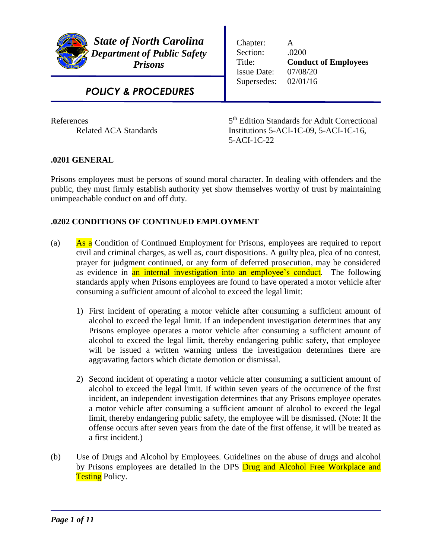

*State of North Carolina Department of Public Safety Prisons*

Chapter: A Section: .0200 Title: **Conduct of Employees** Issue Date: 07/08/20 Supersedes: 02/01/16

# *POLICY & PROCEDURES*

**References** 

5<sup>th</sup> Edition Standards for Adult Correctional Related ACA Standards Institutions 5-ACI-1C-09, 5-ACI-1C-16, 5-ACI-1C-22

## **.0201 GENERAL**

Prisons employees must be persons of sound moral character. In dealing with offenders and the public, they must firmly establish authority yet show themselves worthy of trust by maintaining unimpeachable conduct on and off duty.

# **.0202 CONDITIONS OF CONTINUED EMPLOYMENT**

- (a) As a Condition of Continued Employment for Prisons, employees are required to report civil and criminal charges, as well as, court dispositions. A guilty plea, plea of no contest, prayer for judgment continued, or any form of deferred prosecution, may be considered as evidence in an internal investigation into an employee's conduct. The following standards apply when Prisons employees are found to have operated a motor vehicle after consuming a sufficient amount of alcohol to exceed the legal limit:
	- 1) First incident of operating a motor vehicle after consuming a sufficient amount of alcohol to exceed the legal limit. If an independent investigation determines that any Prisons employee operates a motor vehicle after consuming a sufficient amount of alcohol to exceed the legal limit, thereby endangering public safety, that employee will be issued a written warning unless the investigation determines there are aggravating factors which dictate demotion or dismissal.
	- 2) Second incident of operating a motor vehicle after consuming a sufficient amount of alcohol to exceed the legal limit. If within seven years of the occurrence of the first incident, an independent investigation determines that any Prisons employee operates a motor vehicle after consuming a sufficient amount of alcohol to exceed the legal limit, thereby endangering public safety, the employee will be dismissed. (Note: If the offense occurs after seven years from the date of the first offense, it will be treated as a first incident.)
- (b) Use of Drugs and Alcohol by Employees. Guidelines on the abuse of drugs and alcohol by Prisons employees are detailed in the DPS **Drug and Alcohol Free Workplace and Testing Policy.**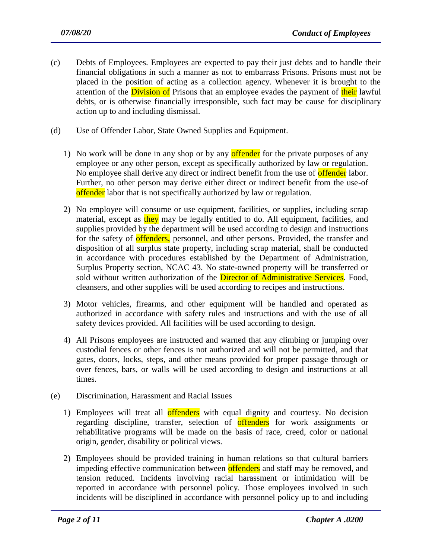- (c) Debts of Employees. Employees are expected to pay their just debts and to handle their financial obligations in such a manner as not to embarrass Prisons. Prisons must not be placed in the position of acting as a collection agency. Whenever it is brought to the attention of the **Division of** Prisons that an employee evades the payment of their lawful debts, or is otherwise financially irresponsible, such fact may be cause for disciplinary action up to and including dismissal.
- (d) Use of Offender Labor, State Owned Supplies and Equipment.
	- 1) No work will be done in any shop or by any **offender** for the private purposes of any employee or any other person, except as specifically authorized by law or regulation. No employee shall derive any direct or indirect benefit from the use of **offender** labor. Further, no other person may derive either direct or indirect benefit from the use-of offender labor that is not specifically authorized by law or regulation.
	- 2) No employee will consume or use equipment, facilities, or supplies, including scrap material, except as they may be legally entitled to do. All equipment, facilities, and supplies provided by the department will be used according to design and instructions for the safety of offenders, personnel, and other persons. Provided, the transfer and disposition of all surplus state property, including scrap material, shall be conducted in accordance with procedures established by the Department of Administration, Surplus Property section, NCAC 43. No state-owned property will be transferred or sold without written authorization of the **Director of Administrative Services**. Food, cleansers, and other supplies will be used according to recipes and instructions.
	- 3) Motor vehicles, firearms, and other equipment will be handled and operated as authorized in accordance with safety rules and instructions and with the use of all safety devices provided. All facilities will be used according to design.
	- 4) All Prisons employees are instructed and warned that any climbing or jumping over custodial fences or other fences is not authorized and will not be permitted, and that gates, doors, locks, steps, and other means provided for proper passage through or over fences, bars, or walls will be used according to design and instructions at all times.
- (e) Discrimination, Harassment and Racial Issues
	- 1) Employees will treat all **offenders** with equal dignity and courtesy. No decision regarding discipline, transfer, selection of **offenders** for work assignments or rehabilitative programs will be made on the basis of race, creed, color or national origin, gender, disability or political views.
	- 2) Employees should be provided training in human relations so that cultural barriers impeding effective communication between offenders and staff may be removed, and tension reduced. Incidents involving racial harassment or intimidation will be reported in accordance with personnel policy. Those employees involved in such incidents will be disciplined in accordance with personnel policy up to and including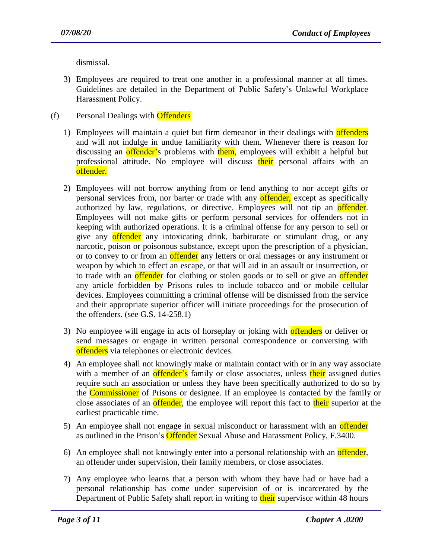dismissal.

- 3) Employees are required to treat one another in a professional manner at all times. Guidelines are detailed in the Department of Public Safety's Unlawful Workplace Harassment Policy.
- (f) Personal Dealings with **Offenders** 
	- 1) Employees will maintain a quiet but firm demeanor in their dealings with **offenders** and will not indulge in undue familiarity with them. Whenever there is reason for discussing an offender's problems with them, employees will exhibit a helpful but professional attitude. No employee will discuss their personal affairs with an offender.
	- 2) Employees will not borrow anything from or lend anything to nor accept gifts or personal services from, nor barter or trade with any offender, except as specifically authorized by law, regulations, or directive. Employees will not tip an offender. Employees will not make gifts or perform personal services for offenders not in keeping with authorized operations. It is a criminal offense for any person to sell or give any offender any intoxicating drink, barbiturate or stimulant drug, or any narcotic, poison or poisonous substance, except upon the prescription of a physician, or to convey to or from an offender any letters or oral messages or any instrument or weapon by which to effect an escape, or that will aid in an assault or insurrection, or to trade with an offender for clothing or stolen goods or to sell or give an offender any article forbidden by Prisons rules to include tobacco and or mobile cellular devices. Employees committing a criminal offense will be dismissed from the service and their appropriate superior officer will initiate proceedings for the prosecution of the offenders. (see G.S. 14-258.1)
	- 3) No employee will engage in acts of horseplay or joking with **offenders** or deliver or send messages or engage in written personal correspondence or conversing with offenders via telephones or electronic devices.
	- 4) An employee shall not knowingly make or maintain contact with or in any way associate with a member of an **offender's** family or close associates, unless their assigned duties require such an association or unless they have been specifically authorized to do so by the Commissioner of Prisons or designee. If an employee is contacted by the family or close associates of an offender, the employee will report this fact to their superior at the earliest practicable time.
	- 5) An employee shall not engage in sexual misconduct or harassment with an offender as outlined in the Prison's Offender Sexual Abuse and Harassment Policy, F.3400.
	- 6) An employee shall not knowingly enter into a personal relationship with an **offender**, an offender under supervision, their family members, or close associates.
	- 7) Any employee who learns that a person with whom they have had or have had a personal relationship has come under supervision of or is incarcerated by the Department of Public Safety shall report in writing to their supervisor within 48 hours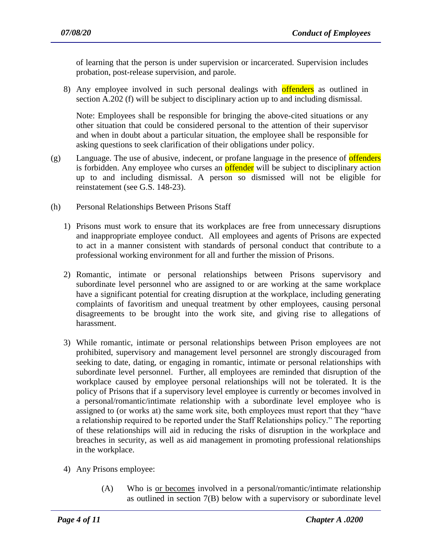of learning that the person is under supervision or incarcerated. Supervision includes probation, post-release supervision, and parole.

8) Any employee involved in such personal dealings with offenders as outlined in section A.202 (f) will be subject to disciplinary action up to and including dismissal.

Note: Employees shall be responsible for bringing the above-cited situations or any other situation that could be considered personal to the attention of their supervisor and when in doubt about a particular situation, the employee shall be responsible for asking questions to seek clarification of their obligations under policy.

- $(g)$  Language. The use of abusive, indecent, or profane language in the presence of **offenders** is forbidden. Any employee who curses an **offender** will be subject to disciplinary action up to and including dismissal. A person so dismissed will not be eligible for reinstatement (see G.S. 148-23).
- (h) Personal Relationships Between Prisons Staff
	- 1) Prisons must work to ensure that its workplaces are free from unnecessary disruptions and inappropriate employee conduct. All employees and agents of Prisons are expected to act in a manner consistent with standards of personal conduct that contribute to a professional working environment for all and further the mission of Prisons.
	- 2) Romantic, intimate or personal relationships between Prisons supervisory and subordinate level personnel who are assigned to or are working at the same workplace have a significant potential for creating disruption at the workplace, including generating complaints of favoritism and unequal treatment by other employees, causing personal disagreements to be brought into the work site, and giving rise to allegations of harassment.
	- 3) While romantic, intimate or personal relationships between Prison employees are not prohibited, supervisory and management level personnel are strongly discouraged from seeking to date, dating, or engaging in romantic, intimate or personal relationships with subordinate level personnel. Further, all employees are reminded that disruption of the workplace caused by employee personal relationships will not be tolerated. It is the policy of Prisons that if a supervisory level employee is currently or becomes involved in a personal/romantic/intimate relationship with a subordinate level employee who is assigned to (or works at) the same work site, both employees must report that they "have a relationship required to be reported under the Staff Relationships policy." The reporting of these relationships will aid in reducing the risks of disruption in the workplace and breaches in security, as well as aid management in promoting professional relationships in the workplace.
	- 4) Any Prisons employee:
		- (A) Who is or becomes involved in a personal/romantic/intimate relationship as outlined in section 7(B) below with a supervisory or subordinate level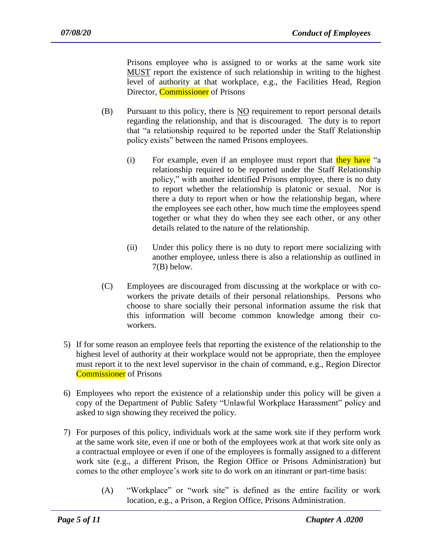Prisons employee who is assigned to or works at the same work site MUST report the existence of such relationship in writing to the highest level of authority at that workplace, e.g., the Facilities Head, Region Director, **Commissioner** of Prisons

- (B) Pursuant to this policy, there is NO requirement to report personal details regarding the relationship, and that is discouraged. The duty is to report that "a relationship required to be reported under the Staff Relationship policy exists" between the named Prisons employees.
	- (i) For example, even if an employee must report that they have "a relationship required to be reported under the Staff Relationship policy," with another identified Prisons employee, there is no duty to report whether the relationship is platonic or sexual. Nor is there a duty to report when or how the relationship began, where the employees see each other, how much time the employees spend together or what they do when they see each other, or any other details related to the nature of the relationship.
	- (ii) Under this policy there is no duty to report mere socializing with another employee, unless there is also a relationship as outlined in 7(B) below.
- (C) Employees are discouraged from discussing at the workplace or with coworkers the private details of their personal relationships. Persons who choose to share socially their personal information assume the risk that this information will become common knowledge among their coworkers.
- 5) If for some reason an employee feels that reporting the existence of the relationship to the highest level of authority at their workplace would not be appropriate, then the employee must report it to the next level supervisor in the chain of command, e.g., Region Director Commissioner of Prisons
- 6) Employees who report the existence of a relationship under this policy will be given a copy of the Department of Public Safety "Unlawful Workplace Harassment" policy and asked to sign showing they received the policy.
- 7) For purposes of this policy, individuals work at the same work site if they perform work at the same work site, even if one or both of the employees work at that work site only as a contractual employee or even if one of the employees is formally assigned to a different work site (e.g., a different Prison, the Region Office or Prisons Administration) but comes to the other employee's work site to do work on an itinerant or part-time basis:

(A) "Workplace" or "work site" is defined as the entire facility or work location, e.g., a Prison, a Region Office, Prisons Administration.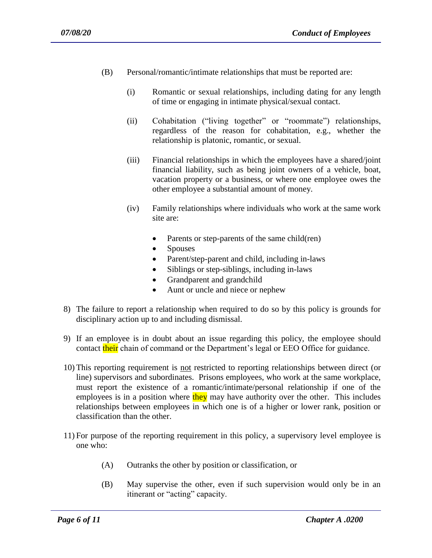- (B) Personal/romantic/intimate relationships that must be reported are:
	- (i) Romantic or sexual relationships, including dating for any length of time or engaging in intimate physical/sexual contact.
	- (ii) Cohabitation ("living together" or "roommate") relationships, regardless of the reason for cohabitation, e.g., whether the relationship is platonic, romantic, or sexual.
	- (iii) Financial relationships in which the employees have a shared/joint financial liability, such as being joint owners of a vehicle, boat, vacation property or a business, or where one employee owes the other employee a substantial amount of money.
	- (iv) Family relationships where individuals who work at the same work site are:
		- Parents or step-parents of the same child(ren)
		- Spouses
		- Parent/step-parent and child, including in-laws
		- Siblings or step-siblings, including in-laws
		- Grandparent and grandchild
		- Aunt or uncle and niece or nephew
- 8) The failure to report a relationship when required to do so by this policy is grounds for disciplinary action up to and including dismissal.
- 9) If an employee is in doubt about an issue regarding this policy, the employee should contact their chain of command or the Department's legal or EEO Office for guidance.
- 10) This reporting requirement is not restricted to reporting relationships between direct (or line) supervisors and subordinates. Prisons employees, who work at the same workplace, must report the existence of a romantic/intimate/personal relationship if one of the employees is in a position where they may have authority over the other. This includes relationships between employees in which one is of a higher or lower rank, position or classification than the other.
- 11) For purpose of the reporting requirement in this policy, a supervisory level employee is one who:
	- (A) Outranks the other by position or classification, or

(B) May supervise the other, even if such supervision would only be in an itinerant or "acting" capacity.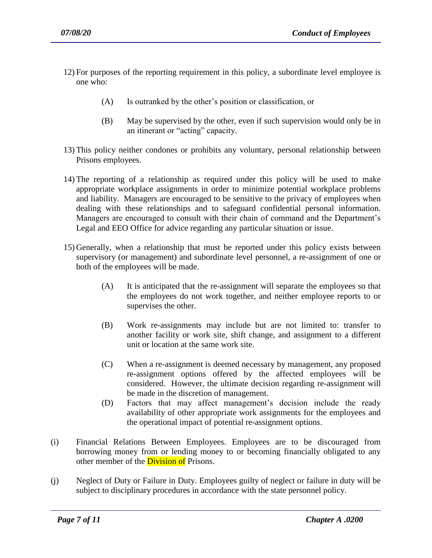- 12) For purposes of the reporting requirement in this policy, a subordinate level employee is one who:
	- (A) Is outranked by the other's position or classification, or
	- (B) May be supervised by the other, even if such supervision would only be in an itinerant or "acting" capacity.
- 13) This policy neither condones or prohibits any voluntary, personal relationship between Prisons employees.
- 14) The reporting of a relationship as required under this policy will be used to make appropriate workplace assignments in order to minimize potential workplace problems and liability. Managers are encouraged to be sensitive to the privacy of employees when dealing with these relationships and to safeguard confidential personal information. Managers are encouraged to consult with their chain of command and the Department's Legal and EEO Office for advice regarding any particular situation or issue.
- 15) Generally, when a relationship that must be reported under this policy exists between supervisory (or management) and subordinate level personnel, a re-assignment of one or both of the employees will be made.
	- (A) It is anticipated that the re-assignment will separate the employees so that the employees do not work together, and neither employee reports to or supervises the other.
	- (B) Work re-assignments may include but are not limited to: transfer to another facility or work site, shift change, and assignment to a different unit or location at the same work site.
	- (C) When a re-assignment is deemed necessary by management, any proposed re-assignment options offered by the affected employees will be considered. However, the ultimate decision regarding re-assignment will be made in the discretion of management.
	- (D) Factors that may affect management's decision include the ready availability of other appropriate work assignments for the employees and the operational impact of potential re-assignment options.
- (i) Financial Relations Between Employees. Employees are to be discouraged from borrowing money from or lending money to or becoming financially obligated to any other member of the **Division of** Prisons.
- (j) Neglect of Duty or Failure in Duty. Employees guilty of neglect or failure in duty will be subject to disciplinary procedures in accordance with the state personnel policy.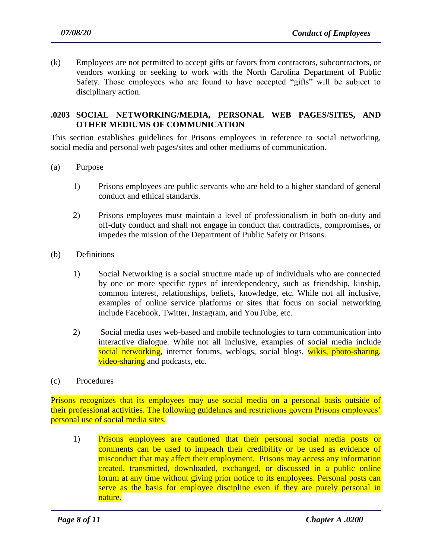(k) Employees are not permitted to accept gifts or favors from contractors, subcontractors, or vendors working or seeking to work with the North Carolina Department of Public Safety. Those employees who are found to have accepted "gifts" will be subject to disciplinary action.

#### **.0203 SOCIAL NETWORKING/MEDIA, PERSONAL WEB PAGES/SITES, AND OTHER MEDIUMS OF COMMUNICATION**

This section establishes guidelines for Prisons employees in reference to social networking, social media and personal web pages/sites and other mediums of communication.

- (a) Purpose
	- 1) Prisons employees are public servants who are held to a higher standard of general conduct and ethical standards.
	- 2) Prisons employees must maintain a level of professionalism in both on-duty and off-duty conduct and shall not engage in conduct that contradicts, compromises, or impedes the mission of the Department of Public Safety or Prisons.
- (b) Definitions
	- 1) Social Networking is a social structure made up of individuals who are connected by one or more specific types of interdependency, such as friendship, kinship, common interest, relationships, beliefs, knowledge, etc. While not all inclusive, examples of online service platforms or sites that focus on social networking include Facebook, Twitter, Instagram, and YouTube, etc.
	- 2) Social media uses web-based and mobile technologies to turn [communication](http://en.wikipedia.org/wiki/Communication) into interactive dialogue. While not all inclusive, examples of social media include social networking, [internet](http://en.wikipedia.org/wiki/Internet_forum) forums, weblogs, [social blogs,](http://en.wikipedia.org/wiki/Social_blogging) wikis, photo-sharing, video-sharing and [podcasts,](http://en.wikipedia.org/wiki/Podcast) etc.
- (c) Procedures

Prisons recognizes that its employees may use social media on a personal basis outside of their professional activities. The following guidelines and restrictions govern Prisons employees' personal use of social media sites.

1) Prisons employees are cautioned that their personal social media posts or comments can be used to impeach their credibility or be used as evidence of misconduct that may affect their employment. Prisons may access any information created, transmitted, downloaded, exchanged, or discussed in a public online forum at any time without giving prior notice to its employees. Personal posts can serve as the basis for employee discipline even if they are purely personal in nature.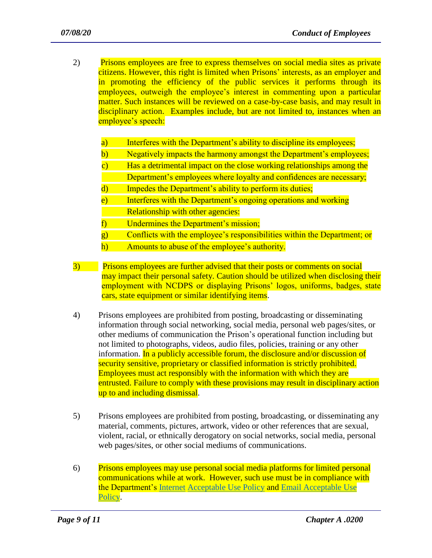- 2) Prisons employees are free to express themselves on social media sites as private citizens. However, this right is limited when Prisons' interests, as an employer and in promoting the efficiency of the public services it performs through its employees, outweigh the employee's interest in commenting upon a particular matter. Such instances will be reviewed on a case-by-case basis, and may result in disciplinary action. Examples include, but are not limited to, instances when an employee's speech:
	- a) Interferes with the Department's ability to discipline its employees;
	- b) Negatively impacts the harmony amongst the Department's employees;
	- c) Has a detrimental impact on the close working relationships among the Department's employees where loyalty and confidences are necessary;
	- d) Impedes the Department's ability to perform its duties;
	- e) Interferes with the Department's ongoing operations and working Relationship with other agencies:
	- f) Undermines the Department's mission;
	- g) Conflicts with the employee's responsibilities within the Department; or
	- h) Amounts to abuse of the employee's authority.
- 3) Prisons employees are further advised that their posts or comments on social may impact their personal safety. Caution should be utilized when disclosing their employment with NCDPS or displaying Prisons' logos, uniforms, badges, state cars, state equipment or similar identifying items.
- 4) Prisons employees are prohibited from posting, broadcasting or disseminating information through social networking, social media, personal web pages/sites, or other mediums of communication the Prison's operational function including but not limited to photographs, videos, audio files, policies, training or any other information. In a publicly accessible forum, the disclosure and/or discussion of security sensitive, proprietary or classified information is strictly prohibited. Employees must act responsibly with the information with which they are entrusted. Failure to comply with these provisions may result in disciplinary action up to and including dismissal.
- 5) Prisons employees are prohibited from posting, broadcasting, or disseminating any material, comments, pictures, artwork, video or other references that are sexual, violent, racial, or ethnically derogatory on social networks, social media, personal web pages/sites, or other social mediums of communications.
- 6) Prisons employees may use personal social media platforms for limited personal communications while at work. However, such use must be in compliance with the Department'[s](https://weare.ncdps.gov/emp/Policies/ITPolicies/DPSInternetAcceptableUsev3.pdf) [Internet](https://weare.ncdps.gov/emp/Policies/ITPolicies/DPSInternetAcceptableUsev3.pdf) [Acceptable Use Policy](https://weare.ncdps.gov/emp/Policies/ITPolicies/DPSInternetAcceptableUsev3.pdf) and [Email Acceptable Use](https://weare.ncdps.gov/emp/Policies/ITPolicies/DPSEmailAcceptableUsev4.pdf)  **Policy**.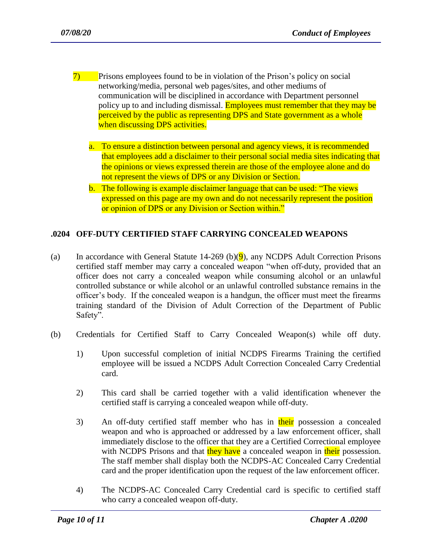- 7) Prisons employees found to be in violation of the Prison's policy on social networking/media, personal web pages/sites, and other mediums of communication will be disciplined in accordance with Department personnel policy up to and including dismissal. **Employees must remember that they may be** perceived by the public as representing DPS and State government as a whole when discussing DPS activities.
	- a. To ensure a distinction between personal and agency views, it is recommended that employees add a disclaimer to their personal social media sites indicating that the opinions or views expressed therein are those of the employee alone and do not represent the views of DPS or any Division or Section.
	- b. The following is example disclaimer language that can be used: "The views expressed on this page are my own and do not necessarily represent the position or opinion of DPS or any Division or Section within."

## **.0204 OFF-DUTY CERTIFIED STAFF CARRYING CONCEALED WEAPONS**

- (a) In accordance with General Statute 14-269 (b) $(9)$ , any NCDPS Adult Correction Prisons certified staff member may carry a concealed weapon "when off-duty, provided that an officer does not carry a concealed weapon while consuming alcohol or an unlawful controlled substance or while alcohol or an unlawful controlled substance remains in the officer's body. If the concealed weapon is a handgun, the officer must meet the firearms training standard of the Division of Adult Correction of the Department of Public Safety".
- (b) Credentials for Certified Staff to Carry Concealed Weapon(s) while off duty.
	- 1) Upon successful completion of initial NCDPS Firearms Training the certified employee will be issued a NCDPS Adult Correction Concealed Carry Credential card.
	- 2) This card shall be carried together with a valid identification whenever the certified staff is carrying a concealed weapon while off-duty.
	- 3) An off-duty certified staff member who has in their possession a concealed weapon and who is approached or addressed by a law enforcement officer, shall immediately disclose to the officer that they are a Certified Correctional employee with NCDPS Prisons and that they have a concealed weapon in their possession. The staff member shall display both the NCDPS-AC Concealed Carry Credential card and the proper identification upon the request of the law enforcement officer.
	- 4) The NCDPS-AC Concealed Carry Credential card is specific to certified staff who carry a concealed weapon off-duty.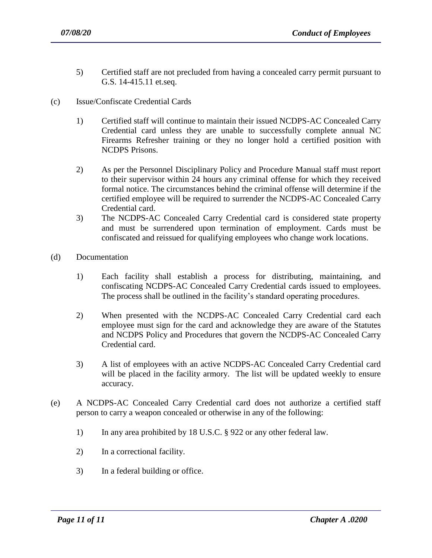- 5) Certified staff are not precluded from having a concealed carry permit pursuant to G.S. 14-415.11 et.seq.
- (c) Issue/Confiscate Credential Cards
	- 1) Certified staff will continue to maintain their issued NCDPS-AC Concealed Carry Credential card unless they are unable to successfully complete annual NC Firearms Refresher training or they no longer hold a certified position with NCDPS Prisons.
	- 2) As per the Personnel Disciplinary Policy and Procedure Manual staff must report to their supervisor within 24 hours any criminal offense for which they received formal notice. The circumstances behind the criminal offense will determine if the certified employee will be required to surrender the NCDPS-AC Concealed Carry Credential card.
	- 3) The NCDPS-AC Concealed Carry Credential card is considered state property and must be surrendered upon termination of employment. Cards must be confiscated and reissued for qualifying employees who change work locations.
- (d) Documentation
	- 1) Each facility shall establish a process for distributing, maintaining, and confiscating NCDPS-AC Concealed Carry Credential cards issued to employees. The process shall be outlined in the facility's standard operating procedures.
	- 2) When presented with the NCDPS-AC Concealed Carry Credential card each employee must sign for the card and acknowledge they are aware of the Statutes and NCDPS Policy and Procedures that govern the NCDPS-AC Concealed Carry Credential card.
	- 3) A list of employees with an active NCDPS-AC Concealed Carry Credential card will be placed in the facility armory. The list will be updated weekly to ensure accuracy.
- (e) A NCDPS-AC Concealed Carry Credential card does not authorize a certified staff person to carry a weapon concealed or otherwise in any of the following:
	- 1) In any area prohibited by 18 U.S.C. § 922 or any other federal law.

- 2) In a correctional facility.
- 3) In a federal building or office.